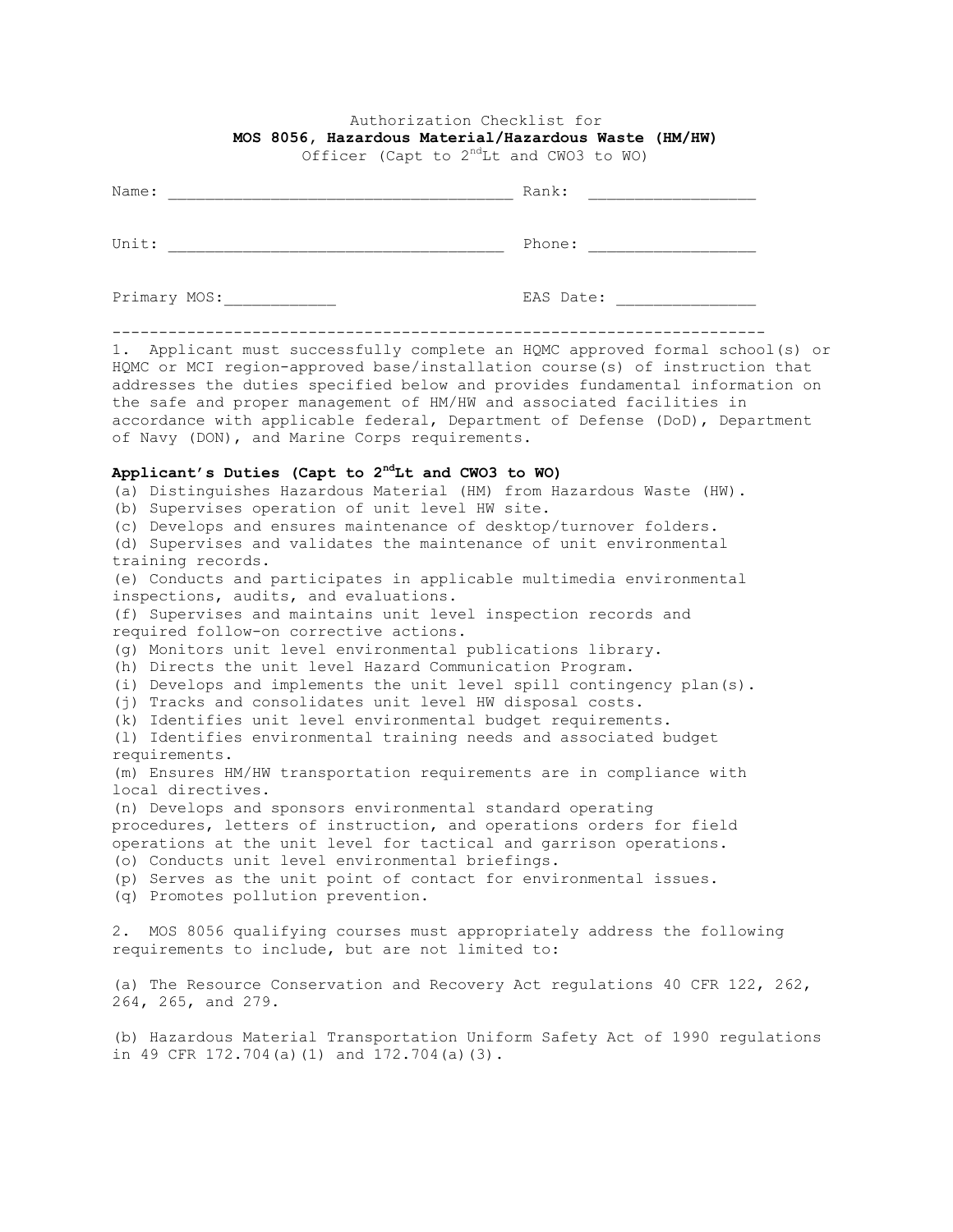## Authorization Checklist for **MOS 8056, Hazardous Material/Hazardous Waste (HM/HW)**

Officer (Capt to  $2<sup>nd</sup>$ Lt and CWO3 to WO)

| Name:        | Rank:     |
|--------------|-----------|
| Unit:        | Phone:    |
| Primary MOS: | EAS Date: |

1. Applicant must successfully complete an HQMC approved formal school(s) or HQMC or MCI region-approved base/installation course(s) of instruction that addresses the duties specified below and provides fundamental information on the safe and proper management of HM/HW and associated facilities in accordance with applicable federal, Department of Defense (DoD), Department of Navy (DON), and Marine Corps requirements.

## **Applicant's Duties (Capt to 2ndLt and CWO3 to WO)**

in 49 CFR 172.704(a)(1) and 172.704(a)(3).

(a) Distinguishes Hazardous Material (HM) from Hazardous Waste (HW). (b) Supervises operation of unit level HW site. (c) Develops and ensures maintenance of desktop/turnover folders. (d) Supervises and validates the maintenance of unit environmental training records. (e) Conducts and participates in applicable multimedia environmental inspections, audits, and evaluations. (f) Supervises and maintains unit level inspection records and required follow-on corrective actions. (g) Monitors unit level environmental publications library. (h) Directs the unit level Hazard Communication Program. (i) Develops and implements the unit level spill contingency plan(s). (j) Tracks and consolidates unit level HW disposal costs. (k) Identifies unit level environmental budget requirements. (l) Identifies environmental training needs and associated budget requirements. (m) Ensures HM/HW transportation requirements are in compliance with local directives. (n) Develops and sponsors environmental standard operating procedures, letters of instruction, and operations orders for field operations at the unit level for tactical and garrison operations. (o) Conducts unit level environmental briefings. (p) Serves as the unit point of contact for environmental issues. (q) Promotes pollution prevention. 2. MOS 8056 qualifying courses must appropriately address the following requirements to include, but are not limited to: (a) The Resource Conservation and Recovery Act regulations 40 CFR 122, 262, 264, 265, and 279. (b) Hazardous Material Transportation Uniform Safety Act of 1990 regulations